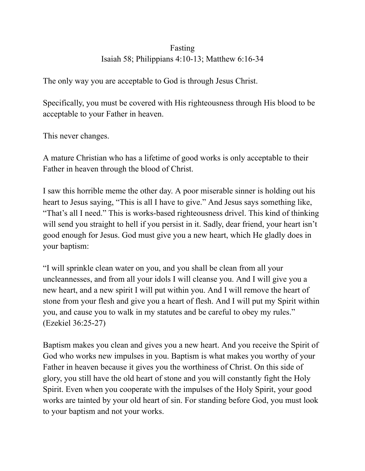## Fasting Isaiah 58; Philippians 4:10-13; Matthew 6:16-34

The only way you are acceptable to God is through Jesus Christ.

Specifically, you must be covered with His righteousness through His blood to be acceptable to your Father in heaven.

This never changes.

A mature Christian who has a lifetime of good works is only acceptable to their Father in heaven through the blood of Christ.

I saw this horrible meme the other day. A poor miserable sinner is holding out his heart to Jesus saying, "This is all I have to give." And Jesus says something like, "That's all I need." This is works-based righteousness drivel. This kind of thinking will send you straight to hell if you persist in it. Sadly, dear friend, your heart isn't good enough for Jesus. God must give you a new heart, which He gladly does in your baptism:

"I will sprinkle clean water on you, and you shall be clean from all your uncleannesses, and from all your idols I will cleanse you. And I will give you a new heart, and a new spirit I will put within you. And I will remove the heart of stone from your flesh and give you a heart of flesh. And I will put my Spirit within you, and cause you to walk in my statutes and be careful to obey my rules." (Ezekiel 36:25-27)

Baptism makes you clean and gives you a new heart. And you receive the Spirit of God who works new impulses in you. Baptism is what makes you worthy of your Father in heaven because it gives you the worthiness of Christ. On this side of glory, you still have the old heart of stone and you will constantly fight the Holy Spirit. Even when you cooperate with the impulses of the Holy Spirit, your good works are tainted by your old heart of sin. For standing before God, you must look to your baptism and not your works.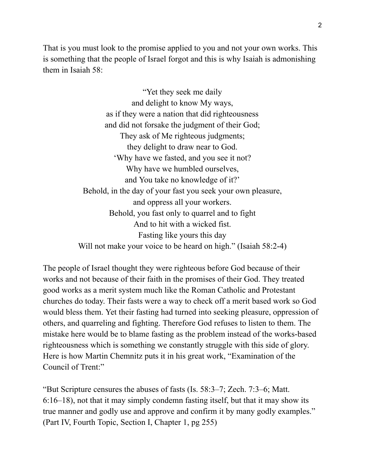That is you must look to the promise applied to you and not your own works. This is something that the people of Israel forgot and this is why Isaiah is admonishing them in Isaiah 58:

> "Yet they seek me daily and delight to know My ways, as if they were a nation that did righteousness and did not forsake the judgment of their God; They ask of Me righteous judgments; they delight to draw near to God. 'Why have we fasted, and you see it not? Why have we humbled ourselves, and You take no knowledge of it?' Behold, in the day of your fast you seek your own pleasure, and oppress all your workers. Behold, you fast only to quarrel and to fight And to hit with a wicked fist. Fasting like yours this day Will not make your voice to be heard on high." (Isaiah 58:2-4)

The people of Israel thought they were righteous before God because of their works and not because of their faith in the promises of their God. They treated good works as a merit system much like the Roman Catholic and Protestant churches do today. Their fasts were a way to check off a merit based work so God would bless them. Yet their fasting had turned into seeking pleasure, oppression of others, and quarreling and fighting. Therefore God refuses to listen to them. The mistake here would be to blame fasting as the problem instead of the works-based righteousness which is something we constantly struggle with this side of glory. Here is how Martin Chemnitz puts it in his great work, "Examination of the Council of Trent:"

"But Scripture censures the abuses of fasts (Is. 58:3–7; Zech. 7:3–6; Matt. 6:16–18), not that it may simply condemn fasting itself, but that it may show its true manner and godly use and approve and confirm it by many godly examples." (Part IV, Fourth Topic, Section I, Chapter 1, pg 255)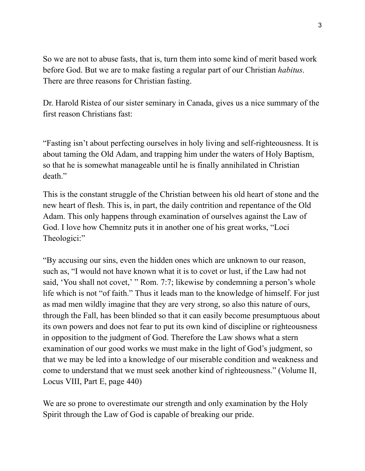So we are not to abuse fasts, that is, turn them into some kind of merit based work before God. But we are to make fasting a regular part of our Christian *habitus*. There are three reasons for Christian fasting.

Dr. Harold Ristea of our sister seminary in Canada, gives us a nice summary of the first reason Christians fast:

"Fasting isn't about perfecting ourselves in holy living and self-righteousness. It is about taming the Old Adam, and trapping him under the waters of Holy Baptism, so that he is somewhat manageable until he is finally annihilated in Christian death."

This is the constant struggle of the Christian between his old heart of stone and the new heart of flesh. This is, in part, the daily contrition and repentance of the Old Adam. This only happens through examination of ourselves against the Law of God. I love how Chemnitz puts it in another one of his great works, "Loci Theologici:"

"By accusing our sins, even the hidden ones which are unknown to our reason, such as, "I would not have known what it is to covet or lust, if the Law had not said, 'You shall not covet,' " Rom. 7:7; likewise by condemning a person's whole life which is not "of faith." Thus it leads man to the knowledge of himself. For just as mad men wildly imagine that they are very strong, so also this nature of ours, through the Fall, has been blinded so that it can easily become presumptuous about its own powers and does not fear to put its own kind of discipline or righteousness in opposition to the judgment of God. Therefore the Law shows what a stern examination of our good works we must make in the light of God's judgment, so that we may be led into a knowledge of our miserable condition and weakness and come to understand that we must seek another kind of righteousness." (Volume II, Locus VIII, Part E, page 440)

We are so prone to overestimate our strength and only examination by the Holy Spirit through the Law of God is capable of breaking our pride.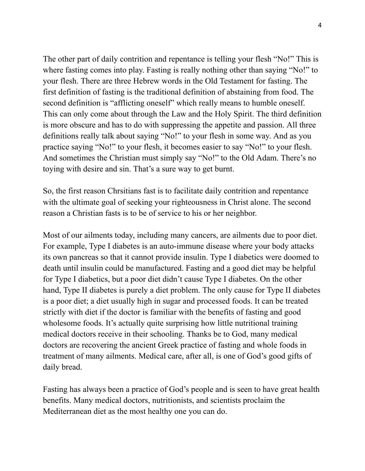The other part of daily contrition and repentance is telling your flesh "No!" This is where fasting comes into play. Fasting is really nothing other than saying "No!" to your flesh. There are three Hebrew words in the Old Testament for fasting. The first definition of fasting is the traditional definition of abstaining from food. The second definition is "afflicting oneself" which really means to humble oneself. This can only come about through the Law and the Holy Spirit. The third definition is more obscure and has to do with suppressing the appetite and passion. All three definitions really talk about saying "No!" to your flesh in some way. And as you practice saying "No!" to your flesh, it becomes easier to say "No!" to your flesh. And sometimes the Christian must simply say "No!" to the Old Adam. There's no toying with desire and sin. That's a sure way to get burnt.

So, the first reason Chrsitians fast is to facilitate daily contrition and repentance with the ultimate goal of seeking your righteousness in Christ alone. The second reason a Christian fasts is to be of service to his or her neighbor.

Most of our ailments today, including many cancers, are ailments due to poor diet. For example, Type I diabetes is an auto-immune disease where your body attacks its own pancreas so that it cannot provide insulin. Type I diabetics were doomed to death until insulin could be manufactured. Fasting and a good diet may be helpful for Type I diabetics, but a poor diet didn't cause Type I diabetes. On the other hand, Type II diabetes is purely a diet problem. The only cause for Type II diabetes is a poor diet; a diet usually high in sugar and processed foods. It can be treated strictly with diet if the doctor is familiar with the benefits of fasting and good wholesome foods. It's actually quite surprising how little nutritional training medical doctors receive in their schooling. Thanks be to God, many medical doctors are recovering the ancient Greek practice of fasting and whole foods in treatment of many ailments. Medical care, after all, is one of God's good gifts of daily bread.

Fasting has always been a practice of God's people and is seen to have great health benefits. Many medical doctors, nutritionists, and scientists proclaim the Mediterranean diet as the most healthy one you can do.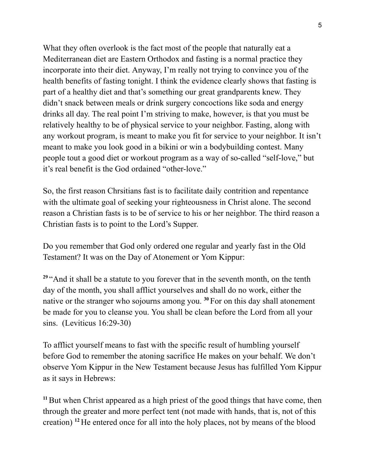What they often overlook is the fact most of the people that naturally eat a Mediterranean diet are Eastern Orthodox and fasting is a normal practice they incorporate into their diet. Anyway, I'm really not trying to convince you of the health benefits of fasting tonight. I think the evidence clearly shows that fasting is part of a healthy diet and that's something our great grandparents knew. They didn't snack between meals or drink surgery concoctions like soda and energy drinks all day. The real point I'm striving to make, however, is that you must be relatively healthy to be of physical service to your neighbor. Fasting, along with any workout program, is meant to make you fit for service to your neighbor. It isn't meant to make you look good in a bikini or win a bodybuilding contest. Many people tout a good diet or workout program as a way of so-called "self-love," but it's real benefit is the God ordained "other-love."

So, the first reason Chrsitians fast is to facilitate daily contrition and repentance with the ultimate goal of seeking your righteousness in Christ alone. The second reason a Christian fasts is to be of service to his or her neighbor. The third reason a Christian fasts is to point to the Lord's Supper.

Do you remember that God only ordered one regular and yearly fast in the Old Testament? It was on the Day of Atonement or Yom Kippur:

<sup>29</sup> "And it shall be a statute to you forever that in the seventh month, on the tenth day of the month, you shall afflict yourselves and shall do no work, either the native or the stranger who sojourns among you. **<sup>30</sup>** For on this day shall atonement be made for you to cleanse you. You shall be clean before the Lord from all your sins. (Leviticus 16:29-30)

To afflict yourself means to fast with the specific result of humbling yourself before God to remember the atoning sacrifice He makes on your behalf. We don't observe Yom Kippur in the New Testament because Jesus has fulfilled Yom Kippur as it says in Hebrews:

<sup>11</sup>But when Christ appeared as a high priest of the good things that have come, then through the greater and more perfect tent (not made with hands, that is, not of this creation) **<sup>12</sup>** He entered once for all into the holy places, not by means of the blood